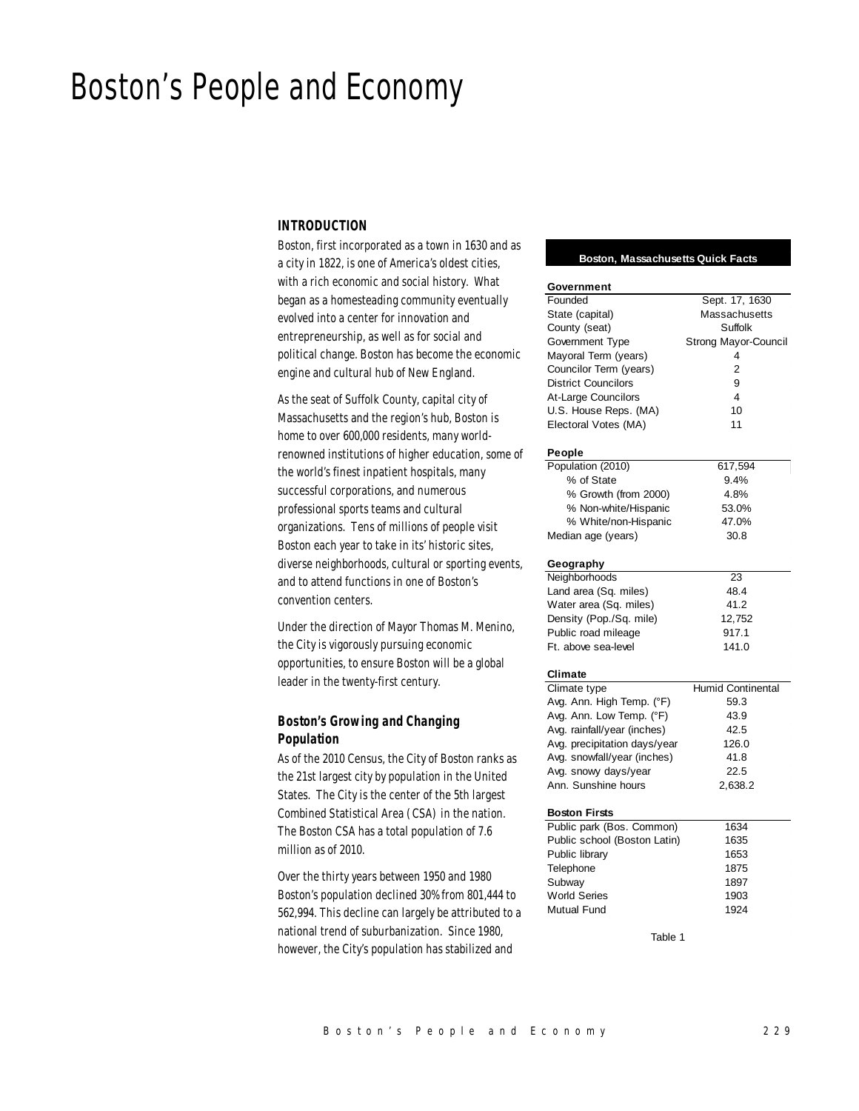# Boston's People and Economy

# *INTRODUCTION*

Boston, first incorporated as a town in 1630 and as a city in 1822, is one of America's oldest cities, with a rich economic and social history. What began as a homesteading community eventually evolved into a center for innovation and entrepreneurship, as well as for social and political change. Boston has become the economic engine and cultural hub of New England.

As the seat of Suffolk County, capital city of Massachusetts and the region's hub, Boston is home to over 600,000 residents, many worldrenowned institutions of higher education, some of the world's finest inpatient hospitals, many successful corporations, and numerous professional sports teams and cultural organizations. Tens of millions of people visit Boston each year to take in its' historic sites, diverse neighborhoods, cultural or sporting events, and to attend functions in one of Boston's convention centers.

Under the direction of Mayor Thomas M. Menino, the City is vigorously pursuing economic opportunities, to ensure Boston will be a global leader in the twenty-first century.

# *Boston's Growing and Changing Population*

As of the 2010 Census, the City of Boston ranks as the 21st largest city by population in the United States. The City is the center of the 5th largest Combined Statistical Area (CSA) in the nation. The Boston CSA has a total population of 7.6 million as of 2010.

Over the thirty years between 1950 and 1980 Boston's population declined 30% from 801,444 to 562,994. This decline can largely be attributed to a national trend of suburbanization. Since 1980, however, the City's population has stabilized and

#### **Boston, Massachusetts Quick Facts**

| Government                   |                      |  |  |  |  |  |
|------------------------------|----------------------|--|--|--|--|--|
| Founded                      | Sept. 17, 1630       |  |  |  |  |  |
| State (capital)              | Massachusetts        |  |  |  |  |  |
| County (seat)                | Suffolk              |  |  |  |  |  |
| Government Type              | Strong Mayor-Council |  |  |  |  |  |
| Mayoral Term (years)         | 4                    |  |  |  |  |  |
| Councilor Term (years)       | $\overline{2}$       |  |  |  |  |  |
| <b>District Councilors</b>   | 9                    |  |  |  |  |  |
| At-Large Councilors          | 4                    |  |  |  |  |  |
| U.S. House Reps. (MA)        | 10                   |  |  |  |  |  |
| Electoral Votes (MA)         | 11                   |  |  |  |  |  |
|                              |                      |  |  |  |  |  |
| People                       |                      |  |  |  |  |  |
| Population (2010)            | 617,594              |  |  |  |  |  |
| % of State                   | 9.4%                 |  |  |  |  |  |
| % Growth (from 2000)         | 4.8%                 |  |  |  |  |  |
| % Non-white/Hispanic         | 53.0%                |  |  |  |  |  |
| % White/non-Hispanic         | 47.0%                |  |  |  |  |  |
| Median age (years)           | 30.8                 |  |  |  |  |  |
| Geography                    |                      |  |  |  |  |  |
| Neighborhoods                | 23                   |  |  |  |  |  |
| Land area (Sq. miles)        | 48.4                 |  |  |  |  |  |
| Water area (Sq. miles)       | 41.2                 |  |  |  |  |  |
| Density (Pop./Sq. mile)      | 12,752               |  |  |  |  |  |
| Public road mileage          | 917.1                |  |  |  |  |  |
| Ft. above sea-level          | 141.0                |  |  |  |  |  |
| <b>Climate</b>               |                      |  |  |  |  |  |
| Climate type                 | Humid Continental    |  |  |  |  |  |
| Avg. Ann. High Temp. (°F)    | 59.3                 |  |  |  |  |  |
| Avg. Ann. Low Temp. (°F)     | 43.9                 |  |  |  |  |  |
| Avg. rainfall/year (inches)  | 42.5                 |  |  |  |  |  |
| Avg. precipitation days/year | 126.0                |  |  |  |  |  |
| Avg. snowfall/year (inches)  | 41.8                 |  |  |  |  |  |
| Avg. snowy days/year         | 22.5                 |  |  |  |  |  |
| Ann. Sunshine hours          | 2,638.2              |  |  |  |  |  |
|                              |                      |  |  |  |  |  |
| <b>Boston Firsts</b>         |                      |  |  |  |  |  |
| Public park (Bos. Common)    | 1634                 |  |  |  |  |  |
| Public school (Boston Latin) | 1635                 |  |  |  |  |  |
| Public library               | 1653                 |  |  |  |  |  |
| Telephone                    | 1875                 |  |  |  |  |  |
| Subway                       | 1897                 |  |  |  |  |  |
| <b>World Series</b>          | 1903                 |  |  |  |  |  |
| <b>Mutual Fund</b>           | 1924                 |  |  |  |  |  |
| Table 1                      |                      |  |  |  |  |  |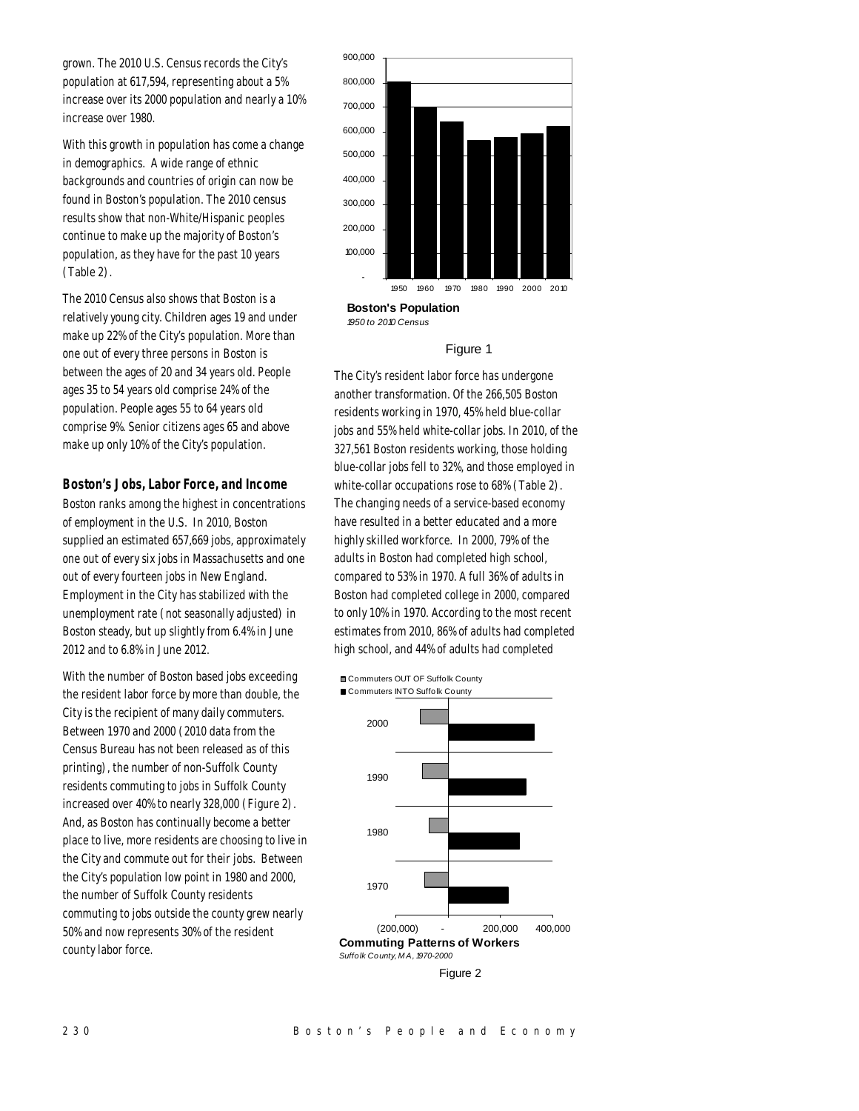grown. The 2010 U.S. Census records the City's population at 617,594, representing about a 5% increase over its 2000 population and nearly a 10% increase over 1980.

With this growth in population has come a change in demographics. A wide range of ethnic backgrounds and countries of origin can now be found in Boston's population. The 2010 census results show that non-White/Hispanic peoples continue to make up the majority of Boston's population, as they have for the past 10 years (Table 2).

The 2010 Census also shows that Boston is a relatively young city. Children ages 19 and under make up 22% of the City's population. More than one out of every three persons in Boston is between the ages of 20 and 34 years old. People ages 35 to 54 years old comprise 24% of the population. People ages 55 to 64 years old comprise 9%. Senior citizens ages 65 and above make up only 10% of the City's population.

# *Boston's Jobs, Labor Force, and Income*

Boston ranks among the highest in concentrations of employment in the U.S. In 2010, Boston supplied an estimated 657,669 jobs, approximately one out of every six jobs in Massachusetts and one out of every fourteen jobs in New England. Employment in the City has stabilized with the unemployment rate (not seasonally adjusted) in Boston steady, but up slightly from 6.4% in June 2012 and to 6.8% in June 2012.

With the number of Boston based jobs exceeding the resident labor force by more than double, the City is the recipient of many daily commuters. Between 1970 and 2000 (2010 data from the Census Bureau has not been released as of this printing), the number of non-Suffolk County residents commuting to jobs in Suffolk County increased over 40% to nearly 328,000 (Figure 2). And, as Boston has continually become a better place to live, more residents are choosing to live in the City and commute out for their jobs. Between the City's population low point in 1980 and 2000, the number of Suffolk County residents commuting to jobs outside the county grew nearly 50% and now represents 30% of the resident county labor force.



**Boston's Population** *1950 to 2010 Census*

## Figure 1

The City's resident labor force has undergone another transformation. Of the 266,505 Boston residents working in 1970, 45% held blue-collar jobs and 55% held white-collar jobs. In 2010, of the 327,561 Boston residents working, those holding blue-collar jobs fell to 32%, and those employed in white-collar occupations rose to 68% (Table 2). The changing needs of a service-based economy have resulted in a better educated and a more highly skilled workforce. In 2000, 79% of the adults in Boston had completed high school, compared to 53% in 1970. A full 36% of adults in Boston had completed college in 2000, compared to only 10% in 1970. According to the most recent estimates from 2010, 86% of adults had completed high school, and 44% of adults had completed

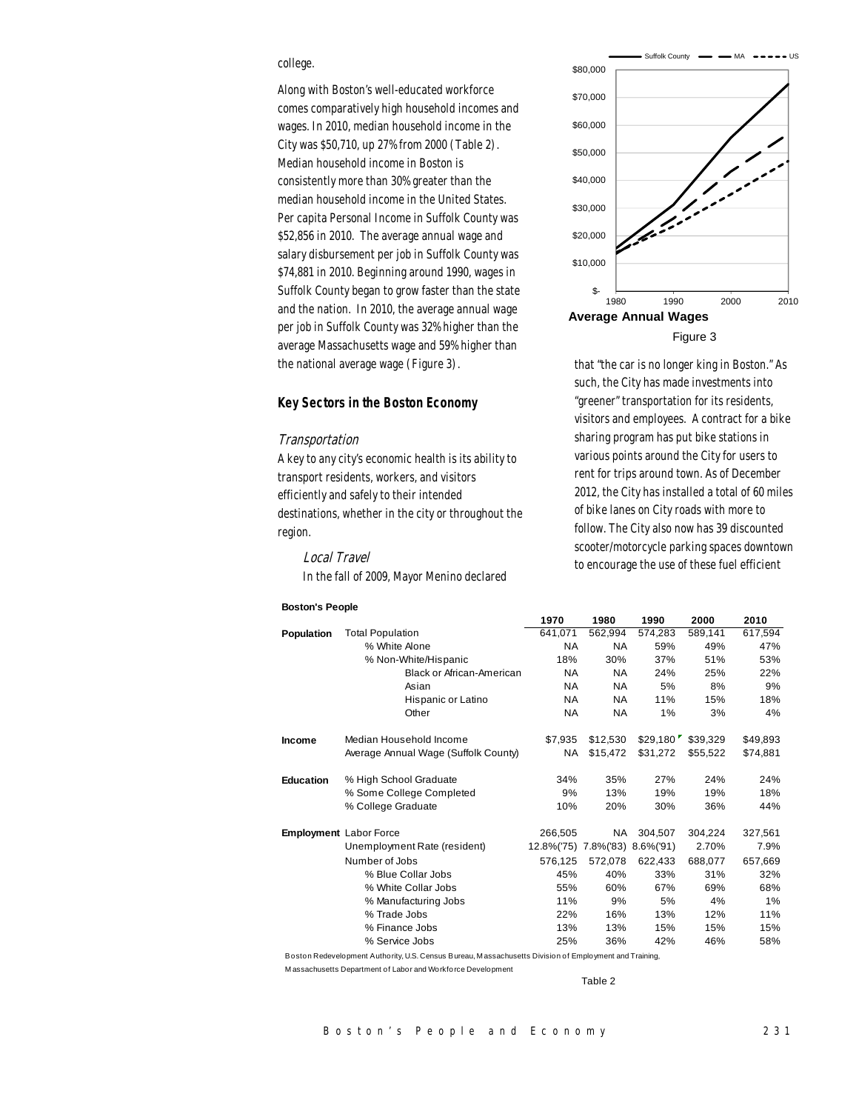# college.

Along with Boston's well-educated workforce comes comparatively high household incomes and wages. In 2010, median household income in the City was \$50,710, up 27% from 2000 (Table 2). Median household income in Boston is consistently more than 30% greater than the median household income in the United States. Per capita Personal Income in Suffolk County was \$52,856 in 2010. The average annual wage and salary disbursement per job in Suffolk County was \$74,881 in 2010. Beginning around 1990, wages in Suffolk County began to grow faster than the state and the nation. In 2010, the average annual wage per job in Suffolk County was 32% higher than the average Massachusetts wage and 59% higher than the national average wage (Figure 3).

## *Key Sectors in the Boston Economy*

#### Transportation

A key to any city's economic health is its ability to transport residents, workers, and visitors efficiently and safely to their intended destinations, whether in the city or throughout the region.

Local Travel In the fall of 2009, Mayor Menino declared

## **Boston's People**



Suffolk County  $\longrightarrow$  MA



that "the car is no longer king in Boston." As such, the City has made investments into "greener" transportation for its residents, visitors and employees. A contract for a bike sharing program has put bike stations in various points around the City for users to rent for trips around town. As of December 2012, the City has installed a total of 60 miles of bike lanes on City roads with more to follow. The City also now has 39 discounted scooter/motorcycle parking spaces downtown to encourage the use of these fuel efficient

|                  |                                      | 1970                           | 1980      | 1990     | 2000     | 2010     |
|------------------|--------------------------------------|--------------------------------|-----------|----------|----------|----------|
| Population       | <b>Total Population</b>              | 641,071                        | 562,994   | 574,283  | 589,141  | 617,594  |
|                  | % White Alone                        | <b>NA</b>                      | <b>NA</b> | 59%      | 49%      | 47%      |
|                  | % Non-White/Hispanic                 | 18%                            | 30%       | 37%      | 51%      | 53%      |
|                  | <b>Black or African-American</b>     | NA.                            | NA        | 24%      | 25%      | 22%      |
|                  | Asian                                | <b>NA</b>                      | <b>NA</b> | 5%       | 8%       | 9%       |
|                  | Hispanic or Latino                   | NA.                            | NA        | 11%      | 15%      | 18%      |
|                  | Other                                | <b>NA</b>                      | NA        | 1%       | 3%       | 4%       |
| <b>Income</b>    | Median Household Income              | \$7,935                        | \$12,530  | \$29,180 | \$39,329 | \$49,893 |
|                  | Average Annual Wage (Suffolk County) | NA.                            | \$15,472  | \$31,272 | \$55,522 | \$74,881 |
| <b>Education</b> | % High School Graduate               | 34%                            | 35%       | 27%      | 24%      | 24%      |
|                  | % Some College Completed             | 9%                             | 13%       | 19%      | 19%      | 18%      |
|                  | % College Graduate                   | 10%                            | 20%       | 30%      | 36%      | 44%      |
|                  | Employment Labor Force               | 266,505                        | NA.       | 304,507  | 304,224  | 327,561  |
|                  | Unemployment Rate (resident)         | 12.8%('75) 7.8%('83) 8.6%('91) |           |          | 2.70%    | 7.9%     |
|                  | Number of Jobs                       | 576.125                        | 572,078   | 622,433  | 688,077  | 657,669  |
|                  | % Blue Collar Jobs                   | 45%                            | 40%       | 33%      | 31%      | 32%      |
|                  | % White Collar Jobs                  | 55%                            | 60%       | 67%      | 69%      | 68%      |
|                  | % Manufacturing Jobs                 | 11%                            | 9%        | 5%       | 4%       | 1%       |
|                  | % Trade Jobs                         | 22%                            | 16%       | 13%      | 12%      | 11%      |
|                  | % Finance Jobs                       | 13%                            | 13%       | 15%      | 15%      | 15%      |
|                  | % Service Jobs                       | 25%                            | 36%       | 42%      | 46%      | 58%      |

Boston Redevelopment Authority, U.S. Census Bureau, M assachusetts Division of Employment and Training,

M assachusetts Department of Labor and Workforce Development

Table 2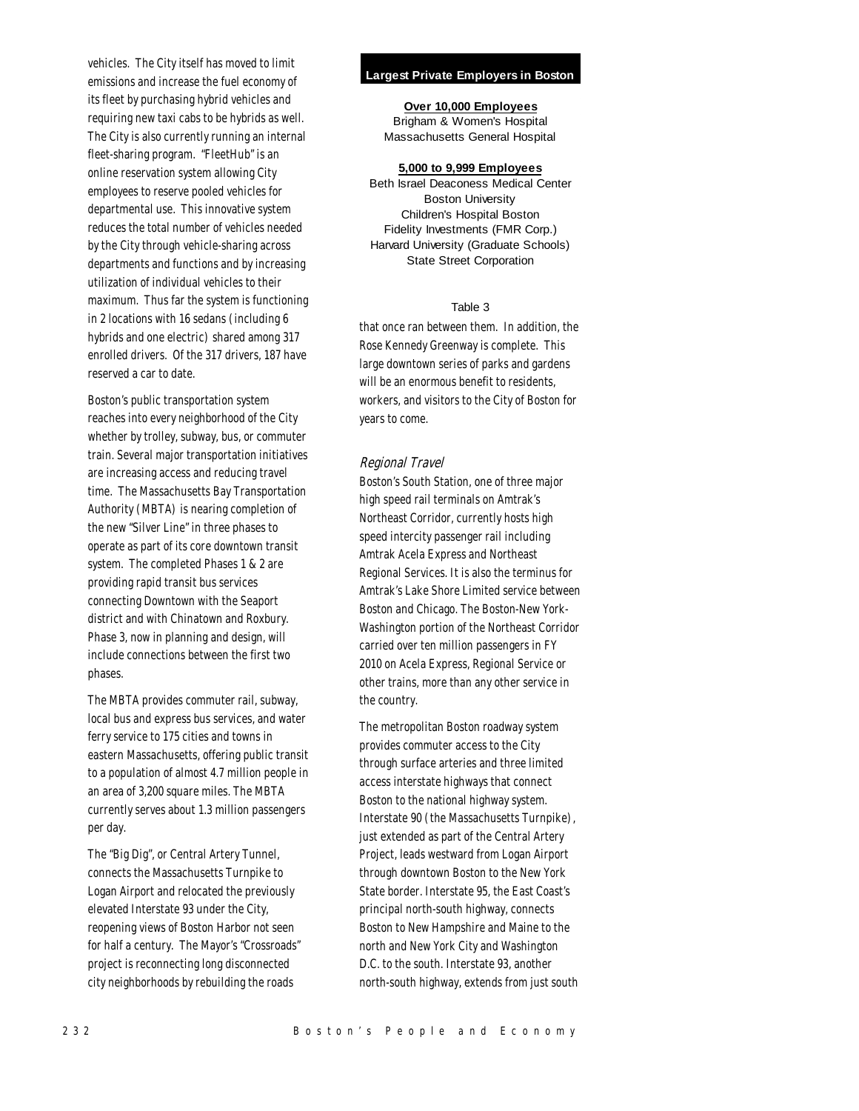vehicles. The City itself has moved to limit emissions and increase the fuel economy of its fleet by purchasing hybrid vehicles and requiring new taxi cabs to be hybrids as well. The City is also currently running an internal fleet-sharing program. "FleetHub" is an online reservation system allowing City employees to reserve pooled vehicles for departmental use. This innovative system reduces the total number of vehicles needed by the City through vehicle-sharing across departments and functions and by increasing utilization of individual vehicles to their maximum. Thus far the system is functioning in 2 locations with 16 sedans (including 6 hybrids and one electric) shared among 317 enrolled drivers. Of the 317 drivers, 187 have reserved a car to date.

Boston's public transportation system reaches into every neighborhood of the City whether by trolley, subway, bus, or commuter train. Several major transportation initiatives are increasing access and reducing travel time. The Massachusetts Bay Transportation Authority (MBTA) is nearing completion of the new "Silver Line" in three phases to operate as part of its core downtown transit system. The completed Phases 1 & 2 are providing rapid transit bus services connecting Downtown with the Seaport district and with Chinatown and Roxbury. Phase 3, now in planning and design, will include connections between the first two phases.

The MBTA provides commuter rail, subway, local bus and express bus services, and water ferry service to 175 cities and towns in eastern Massachusetts, offering public transit to a population of almost 4.7 million people in an area of 3,200 square miles. The MBTA currently serves about 1.3 million passengers per day.

The "Big Dig", or Central Artery Tunnel, connects the Massachusetts Turnpike to Logan Airport and relocated the previously elevated Interstate 93 under the City, reopening views of Boston Harbor not seen for half a century. The Mayor's "Crossroads" project is reconnecting long disconnected city neighborhoods by rebuilding the roads

## **Largest Private Employers in Boston**

**Over 10,000 Employees** Brigham & Women's Hospital

Massachusetts General Hospital

#### **5,000 to 9,999 Employees**

Beth Israel Deaconess Medical Center Boston University Children's Hospital Boston Fidelity Investments (FMR Corp.) Harvard University (Graduate Schools) State Street Corporation

# Table 3

that once ran between them. In addition, the Rose Kennedy Greenway is complete. This large downtown series of parks and gardens will be an enormous benefit to residents. workers, and visitors to the City of Boston for years to come.

## Regional Travel

Boston's South Station, one of three major high speed rail terminals on Amtrak's Northeast Corridor, currently hosts high speed intercity passenger rail including Amtrak Acela Express and Northeast Regional Services. It is also the terminus for Amtrak's Lake Shore Limited service between Boston and Chicago. The Boston-New York-Washington portion of the Northeast Corridor carried over ten million passengers in FY 2010 on Acela Express, Regional Service or other trains, more than any other service in the country.

The metropolitan Boston roadway system provides commuter access to the City through surface arteries and three limited access interstate highways that connect Boston to the national highway system. Interstate 90 (the Massachusetts Turnpike), just extended as part of the Central Artery Project, leads westward from Logan Airport through downtown Boston to the New York State border. Interstate 95, the East Coast's principal north-south highway, connects Boston to New Hampshire and Maine to the north and New York City and Washington D.C. to the south. Interstate 93, another north-south highway, extends from just south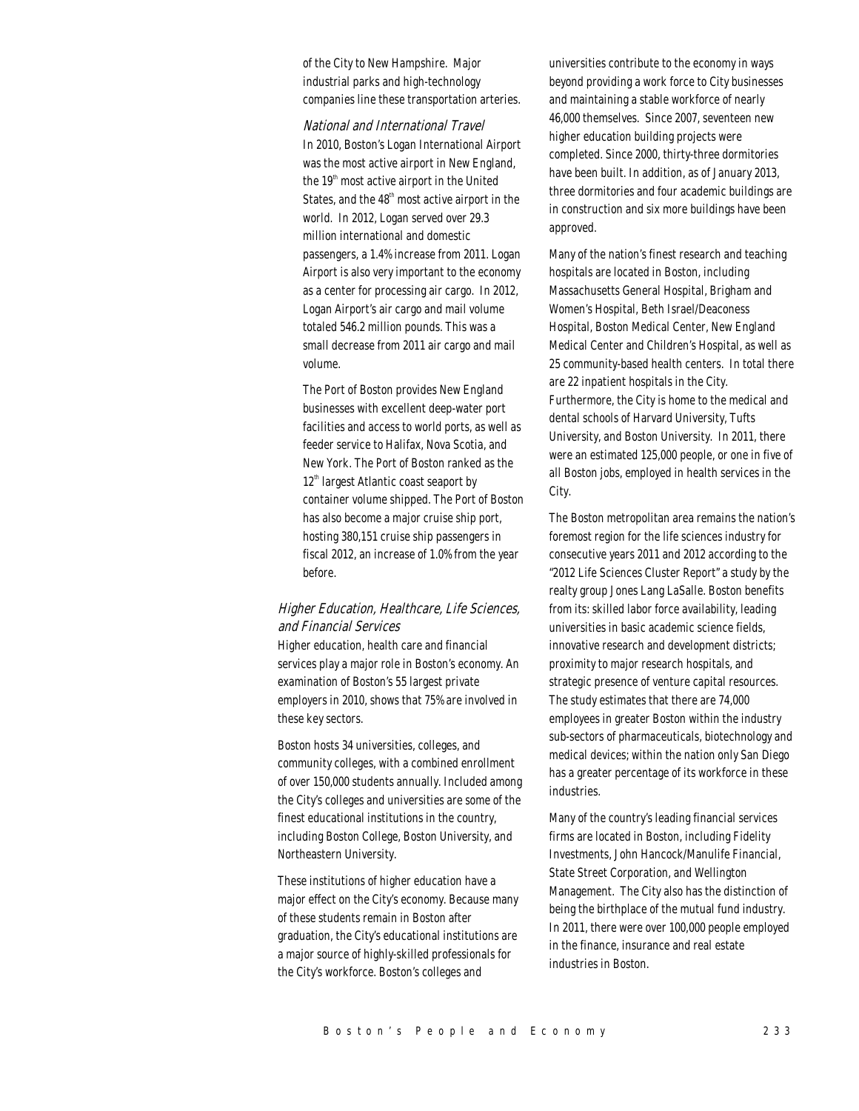of the City to New Hampshire. Major industrial parks and high-technology companies line these transportation arteries.

#### National and International Travel

In 2010, Boston's Logan International Airport was the most active airport in New England, the  $19<sup>th</sup>$  most active airport in the United States, and the  $48<sup>th</sup>$  most active airport in the world. In 2012, Logan served over 29.3 million international and domestic passengers, a 1.4% increase from 2011. Logan Airport is also very important to the economy as a center for processing air cargo. In 2012, Logan Airport's air cargo and mail volume totaled 546.2 million pounds. This was a small decrease from 2011 air cargo and mail volume.

The Port of Boston provides New England businesses with excellent deep-water port facilities and access to world ports, as well as feeder service to Halifax, Nova Scotia, and New York. The Port of Boston ranked as the  $12<sup>th</sup>$  largest Atlantic coast seaport by container volume shipped. The Port of Boston has also become a major cruise ship port, hosting 380,151 cruise ship passengers in fiscal 2012, an increase of 1.0% from the year before.

# Higher Education, Healthcare, Life Sciences, and Financial Services

Higher education, health care and financial services play a major role in Boston's economy. An examination of Boston's 55 largest private employers in 2010, shows that 75% are involved in these key sectors.

Boston hosts 34 universities, colleges, and community colleges, with a combined enrollment of over 150,000 students annually. Included among the City's colleges and universities are some of the finest educational institutions in the country, including Boston College, Boston University, and Northeastern University.

These institutions of higher education have a major effect on the City's economy. Because many of these students remain in Boston after graduation, the City's educational institutions are a major source of highly-skilled professionals for the City's workforce. Boston's colleges and

universities contribute to the economy in ways beyond providing a work force to City businesses and maintaining a stable workforce of nearly 46,000 themselves. Since 2007, seventeen new higher education building projects were completed. Since 2000, thirty-three dormitories have been built. In addition, as of January 2013, three dormitories and four academic buildings are in construction and six more buildings have been approved.

Many of the nation's finest research and teaching hospitals are located in Boston, including Massachusetts General Hospital, Brigham and Women's Hospital, Beth Israel/Deaconess Hospital, Boston Medical Center, New England Medical Center and Children's Hospital, as well as 25 community-based health centers. In total there are 22 inpatient hospitals in the City. Furthermore, the City is home to the medical and dental schools of Harvard University, Tufts University, and Boston University. In 2011, there were an estimated 125,000 people, or one in five of all Boston jobs, employed in health services in the City.

The Boston metropolitan area remains the nation's foremost region for the life sciences industry for consecutive years 2011 and 2012 according to the "2012 Life Sciences Cluster Report" a study by the realty group Jones Lang LaSalle. Boston benefits from its: skilled labor force availability, leading universities in basic academic science fields, innovative research and development districts; proximity to major research hospitals, and strategic presence of venture capital resources. The study estimates that there are 74,000 employees in greater Boston within the industry sub-sectors of pharmaceuticals, biotechnology and medical devices; within the nation only San Diego has a greater percentage of its workforce in these industries.

Many of the country's leading financial services firms are located in Boston, including Fidelity Investments, John Hancock/Manulife Financial, State Street Corporation, and Wellington Management. The City also has the distinction of being the birthplace of the mutual fund industry. In 2011, there were over 100,000 people employed in the finance, insurance and real estate industries in Boston.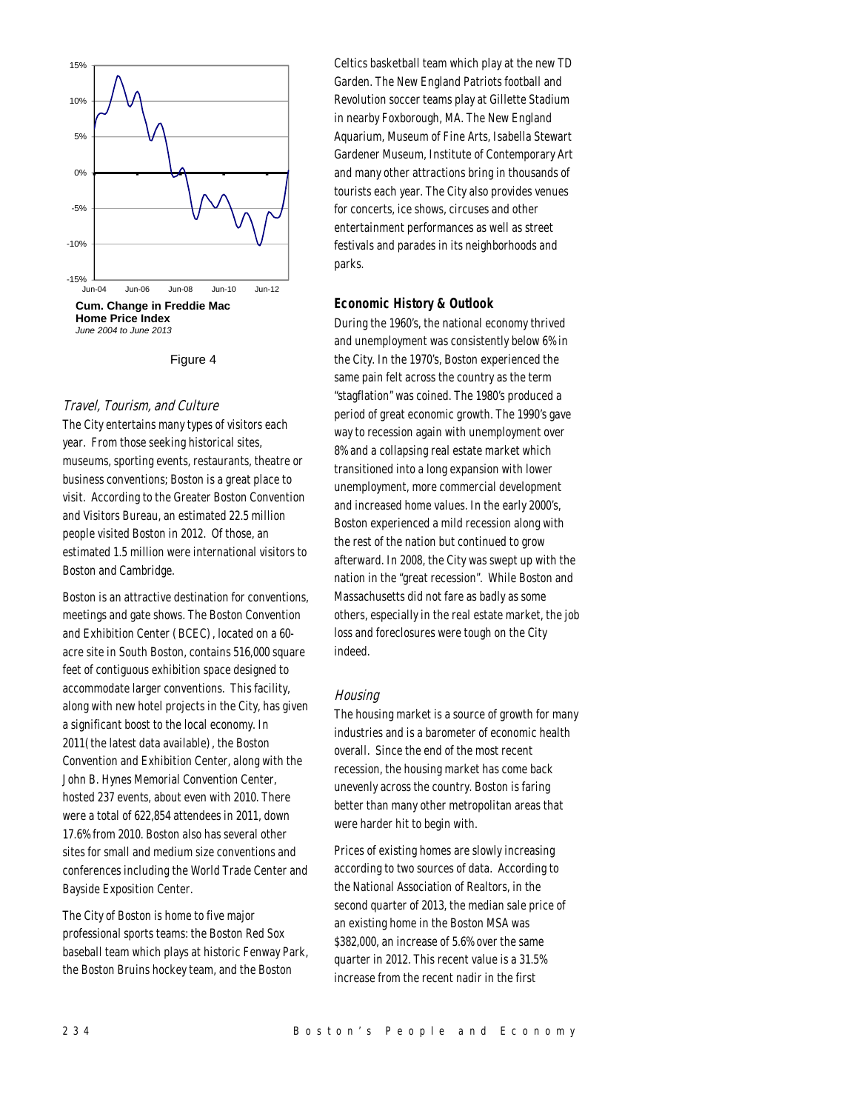

Figure 4

## Travel, Tourism, and Culture

The City entertains many types of visitors each year. From those seeking historical sites, museums, sporting events, restaurants, theatre or business conventions; Boston is a great place to visit. According to the Greater Boston Convention and Visitors Bureau, an estimated 22.5 million people visited Boston in 2012. Of those, an estimated 1.5 million were international visitors to Boston and Cambridge.

Boston is an attractive destination for conventions, meetings and gate shows. The Boston Convention and Exhibition Center (BCEC), located on a 60 acre site in South Boston, contains 516,000 square feet of contiguous exhibition space designed to accommodate larger conventions. This facility, along with new hotel projects in the City, has given a significant boost to the local economy. In 2011(the latest data available), the Boston Convention and Exhibition Center, along with the John B. Hynes Memorial Convention Center, hosted 237 events, about even with 2010. There were a total of 622,854 attendees in 2011, down 17.6% from 2010. Boston also has several other sites for small and medium size conventions and conferences including the World Trade Center and Bayside Exposition Center.

The City of Boston is home to five major professional sports teams: the Boston Red Sox baseball team which plays at historic Fenway Park, the Boston Bruins hockey team, and the Boston

Celtics basketball team which play at the new TD Garden. The New England Patriots football and Revolution soccer teams play at Gillette Stadium in nearby Foxborough, MA. The New England Aquarium, Museum of Fine Arts, Isabella Stewart Gardener Museum, Institute of Contemporary Art and many other attractions bring in thousands of tourists each year. The City also provides venues for concerts, ice shows, circuses and other entertainment performances as well as street festivals and parades in its neighborhoods and parks.

# *Economic History & Outlook*

During the 1960's, the national economy thrived and unemployment was consistently below 6% in the City. In the 1970's, Boston experienced the same pain felt across the country as the term "stagflation" was coined. The 1980's produced a period of great economic growth. The 1990's gave way to recession again with unemployment over 8% and a collapsing real estate market which transitioned into a long expansion with lower unemployment, more commercial development and increased home values. In the early 2000's, Boston experienced a mild recession along with the rest of the nation but continued to grow afterward. In 2008, the City was swept up with the nation in the "great recession". While Boston and Massachusetts did not fare as badly as some others, especially in the real estate market, the job loss and foreclosures were tough on the City indeed.

## Housing

The housing market is a source of growth for many industries and is a barometer of economic health overall. Since the end of the most recent recession, the housing market has come back unevenly across the country. Boston is faring better than many other metropolitan areas that were harder hit to begin with.

Prices of existing homes are slowly increasing according to two sources of data. According to the National Association of Realtors, in the second quarter of 2013, the median sale price of an existing home in the Boston MSA was \$382,000, an increase of 5.6% over the same quarter in 2012. This recent value is a 31.5% increase from the recent nadir in the first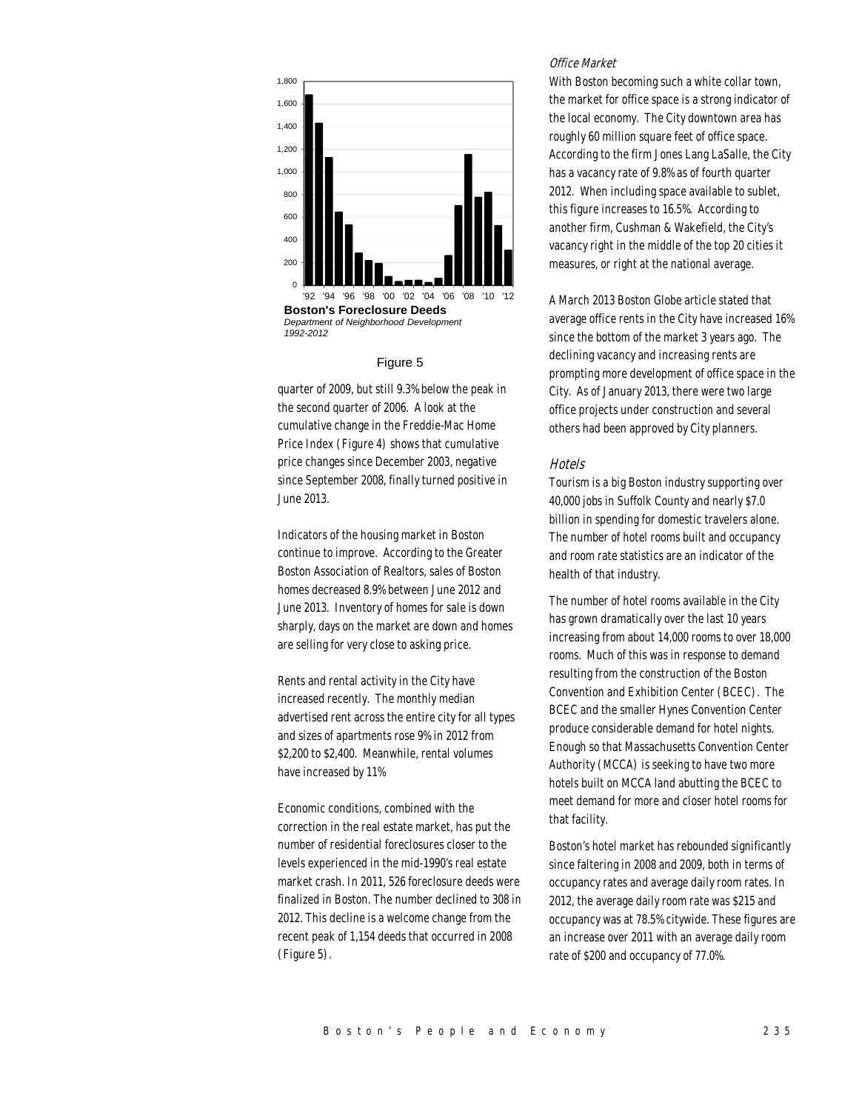

*Department of Neighborhood Development 1992-2012*

#### Figure 5

quarter of 2009, but still 9.3% below the peak in the second quarter of 2006. A look at the cumulative change in the Freddie-Mac Home Price Index (Figure 4) shows that cumulative price changes since December 2003, negative since September 2008, finally turned positive in June 2013.

Indicators of the housing market in Boston continue to improve. According to the Greater Boston Association of Realtors, sales of Boston homes decreased 8.9% between June 2012 and June 2013. Inventory of homes for sale is down sharply, days on the market are down and homes are selling for very close to asking price.

Rents and rental activity in the City have increased recently. The monthly median advertised rent across the entire city for all types and sizes of apartments rose 9% in 2012 from \$2,200 to \$2,400. Meanwhile, rental volumes have increased by 11%

Economic conditions, combined with the correction in the real estate market, has put the number of residential foreclosures closer to the levels experienced in the mid-1990's real estate market crash. In 2011, 526 foreclosure deeds were finalized in Boston. The number declined to 308 in 2012. This decline is a welcome change from the recent peak of 1,154 deeds that occurred in 2008 (Figure 5).

#### Office Market

With Boston becoming such a white collar town, the market for office space is a strong indicator of the local economy. The City downtown area has roughly 60 million square feet of office space. According to the firm Jones Lang LaSalle, the City has a vacancy rate of 9.8% as of fourth quarter 2012. When including space available to sublet, this figure increases to 16.5%. According to another firm, Cushman & Wakefield, the City's vacancy right in the middle of the top 20 cities it measures, or right at the national average.

A March 2013 Boston Globe article stated that average office rents in the City have increased 16% since the bottom of the market 3 years ago. The declining vacancy and increasing rents are prompting more development of office space in the City. As of January 2013, there were two large office projects under construction and several others had been approved by City planners.

#### Hotels

Tourism is a big Boston industry supporting over 40,000 jobs in Suffolk County and nearly \$7.0 billion in spending for domestic travelers alone. The number of hotel rooms built and occupancy and room rate statistics are an indicator of the health of that industry.

The number of hotel rooms available in the City has grown dramatically over the last 10 years increasing from about 14,000 rooms to over 18,000 rooms. Much of this was in response to demand resulting from the construction of the Boston Convention and Exhibition Center (BCEC). The BCEC and the smaller Hynes Convention Center produce considerable demand for hotel nights. Enough so that Massachusetts Convention Center Authority (MCCA) is seeking to have two more hotels built on MCCA land abutting the BCEC to meet demand for more and closer hotel rooms for that facility.

Boston's hotel market has rebounded significantly since faltering in 2008 and 2009, both in terms of occupancy rates and average daily room rates. In 2012, the average daily room rate was \$215 and occupancy was at 78.5% citywide. These figures are an increase over 2011 with an average daily room rate of \$200 and occupancy of 77.0%.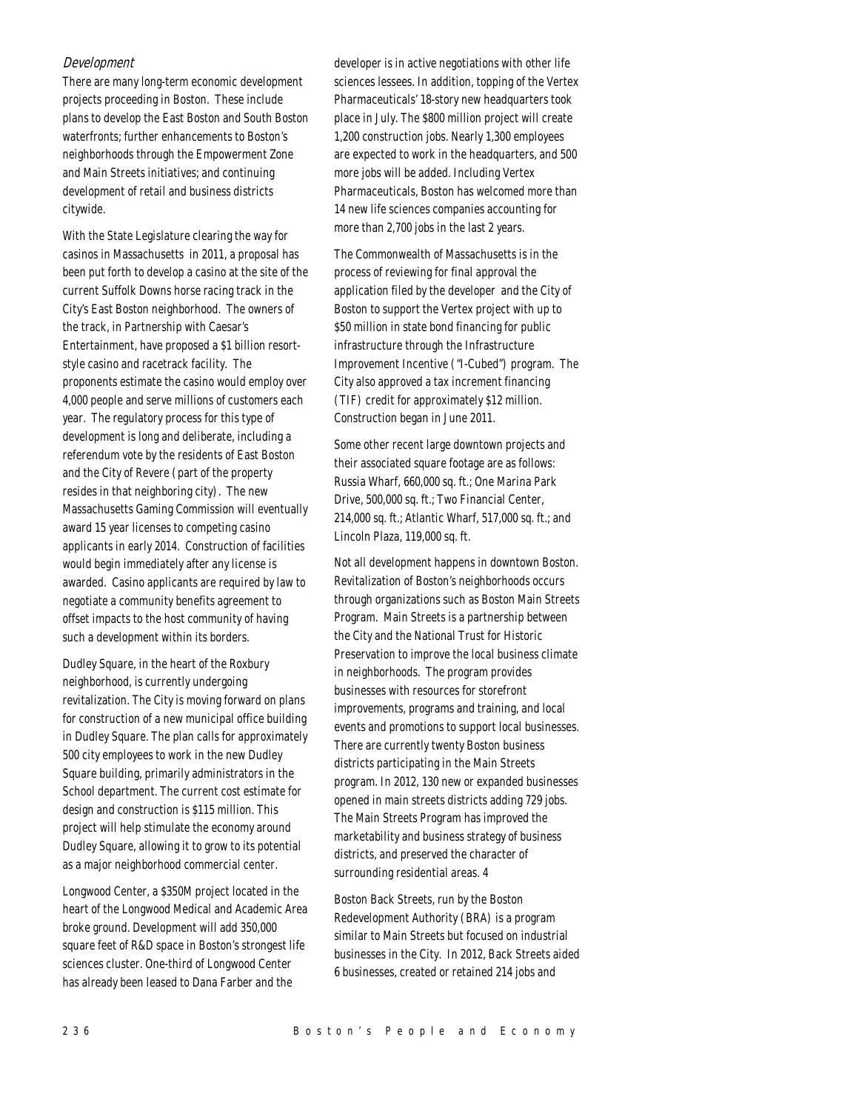# Development

There are many long-term economic development projects proceeding in Boston. These include plans to develop the East Boston and South Boston waterfronts; further enhancements to Boston's neighborhoods through the Empowerment Zone and Main Streets initiatives; and continuing development of retail and business districts citywide.

With the State Legislature clearing the way for casinos in Massachusetts in 2011, a proposal has been put forth to develop a casino at the site of the current Suffolk Downs horse racing track in the City's East Boston neighborhood. The owners of the track, in Partnership with Caesar's Entertainment, have proposed a \$1 billion resortstyle casino and racetrack facility. The proponents estimate the casino would employ over 4,000 people and serve millions of customers each year. The regulatory process for this type of development is long and deliberate, including a referendum vote by the residents of East Boston and the City of Revere (part of the property resides in that neighboring city). The new Massachusetts Gaming Commission will eventually award 15 year licenses to competing casino applicants in early 2014. Construction of facilities would begin immediately after any license is awarded. Casino applicants are required by law to negotiate a community benefits agreement to offset impacts to the host community of having such a development within its borders.

Dudley Square, in the heart of the Roxbury neighborhood, is currently undergoing revitalization. The City is moving forward on plans for construction of a new municipal office building in Dudley Square. The plan calls for approximately 500 city employees to work in the new Dudley Square building, primarily administrators in the School department. The current cost estimate for design and construction is \$115 million. This project will help stimulate the economy around Dudley Square, allowing it to grow to its potential as a major neighborhood commercial center.

Longwood Center, a \$350M project located in the heart of the Longwood Medical and Academic Area broke ground. Development will add 350,000 square feet of R&D space in Boston's strongest life sciences cluster. One-third of Longwood Center has already been leased to Dana Farber and the

developer is in active negotiations with other life sciences lessees. In addition, topping of the Vertex Pharmaceuticals' 18-story new headquarters took place in July. The \$800 million project will create 1,200 construction jobs. Nearly 1,300 employees are expected to work in the headquarters, and 500 more jobs will be added. Including Vertex Pharmaceuticals, Boston has welcomed more than 14 new life sciences companies accounting for more than 2,700 jobs in the last 2 years.

The Commonwealth of Massachusetts is in the process of reviewing for final approval the application filed by the developer and the City of Boston to support the Vertex project with up to \$50 million in state bond financing for public infrastructure through the Infrastructure Improvement Incentive ("I-Cubed") program. The City also approved a tax increment financing (TIF) credit for approximately \$12 million. Construction began in June 2011.

Some other recent large downtown projects and their associated square footage are as follows: Russia Wharf, 660,000 sq. ft.; One Marina Park Drive, 500,000 sq. ft.; Two Financial Center, 214,000 sq. ft.; Atlantic Wharf, 517,000 sq. ft.; and Lincoln Plaza, 119,000 sq. ft.

Not all development happens in downtown Boston. Revitalization of Boston's neighborhoods occurs through organizations such as Boston Main Streets Program. Main Streets is a partnership between the City and the National Trust for Historic Preservation to improve the local business climate in neighborhoods. The program provides businesses with resources for storefront improvements, programs and training, and local events and promotions to support local businesses. There are currently twenty Boston business districts participating in the Main Streets program. In 2012, 130 new or expanded businesses opened in main streets districts adding 729 jobs. The Main Streets Program has improved the marketability and business strategy of business districts, and preserved the character of surrounding residential areas. 4

Boston Back Streets, run by the Boston Redevelopment Authority (BRA) is a program similar to Main Streets but focused on industrial businesses in the City. In 2012, Back Streets aided 6 businesses, created or retained 214 jobs and